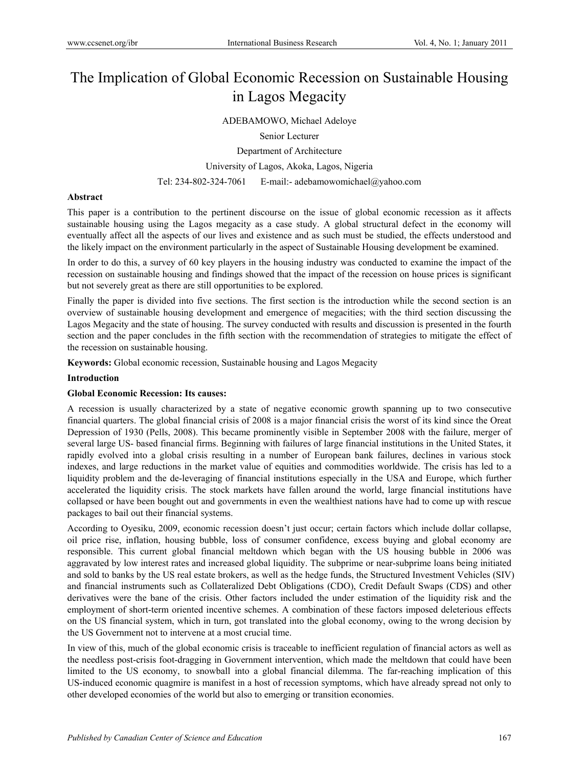# The Implication of Global Economic Recession on Sustainable Housing in Lagos Megacity

# ADEBAMOWO, Michael Adeloye

Senior Lecturer

Department of Architecture

University of Lagos, Akoka, Lagos, Nigeria

Tel: 234-802-324-7061 E-mail:- adebamowomichael@yahoo.com

# **Abstract**

This paper is a contribution to the pertinent discourse on the issue of global economic recession as it affects sustainable housing using the Lagos megacity as a case study. A global structural defect in the economy will eventually affect all the aspects of our lives and existence and as such must be studied, the effects understood and the likely impact on the environment particularly in the aspect of Sustainable Housing development be examined.

In order to do this, a survey of 60 key players in the housing industry was conducted to examine the impact of the recession on sustainable housing and findings showed that the impact of the recession on house prices is significant but not severely great as there are still opportunities to be explored.

Finally the paper is divided into five sections. The first section is the introduction while the second section is an overview of sustainable housing development and emergence of megacities; with the third section discussing the Lagos Megacity and the state of housing. The survey conducted with results and discussion is presented in the fourth section and the paper concludes in the fifth section with the recommendation of strategies to mitigate the effect of the recession on sustainable housing.

**Keywords:** Global economic recession, Sustainable housing and Lagos Megacity

## **Introduction**

## **Global Economic Recession: Its causes:**

A recession is usually characterized by a state of negative economic growth spanning up to two consecutive financial quarters. The global financial crisis of 2008 is a major financial crisis the worst of its kind since the Oreat Depression of 1930 (Pells, 2008). This became prominently visible in September 2008 with the failure, merger of several large US- based financial firms. Beginning with failures of large financial institutions in the United States, it rapidly evolved into a global crisis resulting in a number of European bank failures, declines in various stock indexes, and large reductions in the market value of equities and commodities worldwide. The crisis has led to a liquidity problem and the de-leveraging of financial institutions especially in the USA and Europe, which further accelerated the liquidity crisis. The stock markets have fallen around the world, large financial institutions have collapsed or have been bought out and governments in even the wealthiest nations have had to come up with rescue packages to bail out their financial systems.

According to Oyesiku, 2009, economic recession doesn't just occur; certain factors which include dollar collapse, oil price rise, inflation, housing bubble, loss of consumer confidence, excess buying and global economy are responsible. This current global financial meltdown which began with the US housing bubble in 2006 was aggravated by low interest rates and increased global liquidity. The subprime or near-subprime loans being initiated and sold to banks by the US real estate brokers, as well as the hedge funds, the Structured Investment Vehicles (SIV) and financial instruments such as Collateralized Debt Obligations (CDO), Credit Default Swaps (CDS) and other derivatives were the bane of the crisis. Other factors included the under estimation of the liquidity risk and the employment of short-term oriented incentive schemes. A combination of these factors imposed deleterious effects on the US financial system, which in turn, got translated into the global economy, owing to the wrong decision by the US Government not to intervene at a most crucial time.

In view of this, much of the global economic crisis is traceable to inefficient regulation of financial actors as well as the needless post-crisis foot-dragging in Government intervention, which made the meltdown that could have been limited to the US economy, to snowball into a global financial dilemma. The far-reaching implication of this US-induced economic quagmire is manifest in a host of recession symptoms, which have already spread not only to other developed economies of the world but also to emerging or transition economies.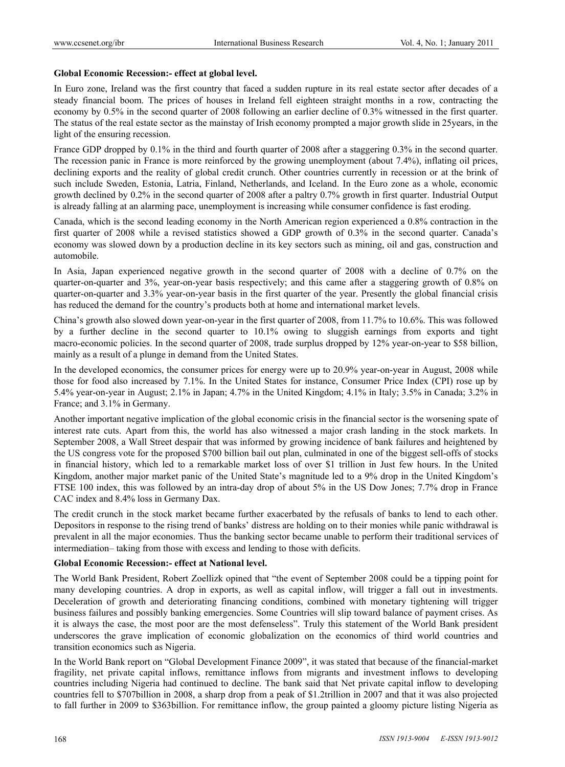#### **Global Economic Recession:- effect at global level.**

In Euro zone, Ireland was the first country that faced a sudden rupture in its real estate sector after decades of a steady financial boom. The prices of houses in Ireland fell eighteen straight months in a row, contracting the economy by 0.5% in the second quarter of 2008 following an earlier decline of 0.3% witnessed in the first quarter. The status of the real estate sector as the mainstay of Irish economy prompted a major growth slide in 25years, in the light of the ensuring recession.

France GDP dropped by 0.1% in the third and fourth quarter of 2008 after a staggering 0.3% in the second quarter. The recession panic in France is more reinforced by the growing unemployment (about 7.4%), inflating oil prices, declining exports and the reality of global credit crunch. Other countries currently in recession or at the brink of such include Sweden, Estonia, Latria, Finland, Netherlands, and Iceland. In the Euro zone as a whole, economic growth declined by 0.2% in the second quarter of 2008 after a paltry 0.7% growth in first quarter. Industrial Output is already falling at an alarming pace, unemployment is increasing while consumer confidence is fast eroding.

Canada, which is the second leading economy in the North American region experienced a 0.8% contraction in the first quarter of 2008 while a revised statistics showed a GDP growth of 0.3% in the second quarter. Canada's economy was slowed down by a production decline in its key sectors such as mining, oil and gas, construction and automobile.

In Asia, Japan experienced negative growth in the second quarter of 2008 with a decline of 0.7% on the quarter-on-quarter and 3%, year-on-year basis respectively; and this came after a staggering growth of 0.8% on quarter-on-quarter and 3.3% year-on-year basis in the first quarter of the year. Presently the global financial crisis has reduced the demand for the country's products both at home and international market levels.

China's growth also slowed down year-on-year in the first quarter of 2008, from 11.7% to 10.6%. This was followed by a further decline in the second quarter to 10.1% owing to sluggish earnings from exports and tight macro-economic policies. In the second quarter of 2008, trade surplus dropped by 12% year-on-year to \$58 billion, mainly as a result of a plunge in demand from the United States.

In the developed economics, the consumer prices for energy were up to 20.9% year-on-year in August, 2008 while those for food also increased by 7.1%. In the United States for instance, Consumer Price Index (CPI) rose up by 5.4% year-on-year in August; 2.1% in Japan; 4.7% in the United Kingdom; 4.1% in Italy; 3.5% in Canada; 3.2% in France; and 3.1% in Germany.

Another important negative implication of the global economic crisis in the financial sector is the worsening spate of interest rate cuts. Apart from this, the world has also witnessed a major crash landing in the stock markets. In September 2008, a Wall Street despair that was informed by growing incidence of bank failures and heightened by the US congress vote for the proposed \$700 billion bail out plan, culminated in one of the biggest sell-offs of stocks in financial history, which led to a remarkable market loss of over \$1 trillion in Just few hours. In the United Kingdom, another major market panic of the United State's magnitude led to a 9% drop in the United Kingdom's FTSE 100 index, this was followed by an intra-day drop of about 5% in the US Dow Jones; 7.7% drop in France CAC index and 8.4% loss in Germany Dax.

The credit crunch in the stock market became further exacerbated by the refusals of banks to lend to each other. Depositors in response to the rising trend of banks' distress are holding on to their monies while panic withdrawal is prevalent in all the major economies. Thus the banking sector became unable to perform their traditional services of intermediation– taking from those with excess and lending to those with deficits.

#### **Global Economic Recession:- effect at National level.**

The World Bank President, Robert Zoellizk opined that "the event of September 2008 could be a tipping point for many developing countries. A drop in exports, as well as capital inflow, will trigger a fall out in investments. Deceleration of growth and deteriorating financing conditions, combined with monetary tightening will trigger business failures and possibly banking emergencies. Some Countries will slip toward balance of payment crises. As it is always the case, the most poor are the most defenseless". Truly this statement of the World Bank president underscores the grave implication of economic globalization on the economics of third world countries and transition economics such as Nigeria.

In the World Bank report on "Global Development Finance 2009", it was stated that because of the financial-market fragility, net private capital inflows, remittance inflows from migrants and investment inflows to developing countries including Nigeria had continued to decline. The bank said that Net private capital inflow to developing countries fell to \$707billion in 2008, a sharp drop from a peak of \$1.2trillion in 2007 and that it was also projected to fall further in 2009 to \$363billion. For remittance inflow, the group painted a gloomy picture listing Nigeria as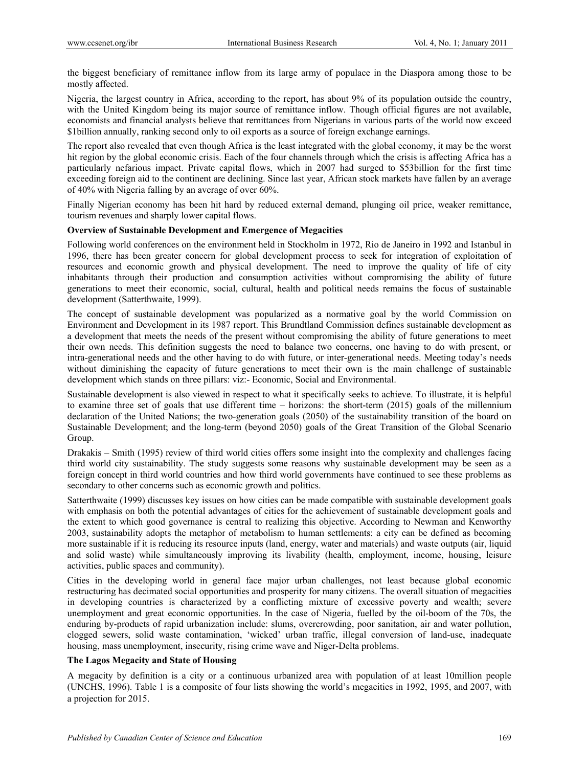the biggest beneficiary of remittance inflow from its large army of populace in the Diaspora among those to be mostly affected.

Nigeria, the largest country in Africa, according to the report, has about 9% of its population outside the country, with the United Kingdom being its major source of remittance inflow. Though official figures are not available, economists and financial analysts believe that remittances from Nigerians in various parts of the world now exceed \$1billion annually, ranking second only to oil exports as a source of foreign exchange earnings.

The report also revealed that even though Africa is the least integrated with the global economy, it may be the worst hit region by the global economic crisis. Each of the four channels through which the crisis is affecting Africa has a particularly nefarious impact. Private capital flows, which in 2007 had surged to \$53billion for the first time exceeding foreign aid to the continent are declining. Since last year, African stock markets have fallen by an average of 40% with Nigeria falling by an average of over 60%.

Finally Nigerian economy has been hit hard by reduced external demand, plunging oil price, weaker remittance, tourism revenues and sharply lower capital flows.

## **Overview of Sustainable Development and Emergence of Megacities**

Following world conferences on the environment held in Stockholm in 1972, Rio de Janeiro in 1992 and Istanbul in 1996, there has been greater concern for global development process to seek for integration of exploitation of resources and economic growth and physical development. The need to improve the quality of life of city inhabitants through their production and consumption activities without compromising the ability of future generations to meet their economic, social, cultural, health and political needs remains the focus of sustainable development (Satterthwaite, 1999).

The concept of sustainable development was popularized as a normative goal by the world Commission on Environment and Development in its 1987 report. This Brundtland Commission defines sustainable development as a development that meets the needs of the present without compromising the ability of future generations to meet their own needs. This definition suggests the need to balance two concerns, one having to do with present, or intra-generational needs and the other having to do with future, or inter-generational needs. Meeting today's needs without diminishing the capacity of future generations to meet their own is the main challenge of sustainable development which stands on three pillars: viz:- Economic, Social and Environmental.

Sustainable development is also viewed in respect to what it specifically seeks to achieve. To illustrate, it is helpful to examine three set of goals that use different time – horizons: the short-term (2015) goals of the millennium declaration of the United Nations; the two-generation goals (2050) of the sustainability transition of the board on Sustainable Development; and the long-term (beyond 2050) goals of the Great Transition of the Global Scenario Group.

Drakakis – Smith (1995) review of third world cities offers some insight into the complexity and challenges facing third world city sustainability. The study suggests some reasons why sustainable development may be seen as a foreign concept in third world countries and how third world governments have continued to see these problems as secondary to other concerns such as economic growth and politics.

Satterthwaite (1999) discusses key issues on how cities can be made compatible with sustainable development goals with emphasis on both the potential advantages of cities for the achievement of sustainable development goals and the extent to which good governance is central to realizing this objective. According to Newman and Kenworthy 2003, sustainability adopts the metaphor of metabolism to human settlements: a city can be defined as becoming more sustainable if it is reducing its resource inputs (land, energy, water and materials) and waste outputs (air, liquid and solid waste) while simultaneously improving its livability (health, employment, income, housing, leisure activities, public spaces and community).

Cities in the developing world in general face major urban challenges, not least because global economic restructuring has decimated social opportunities and prosperity for many citizens. The overall situation of megacities in developing countries is characterized by a conflicting mixture of excessive poverty and wealth; severe unemployment and great economic opportunities. In the case of Nigeria, fuelled by the oil-boom of the 70s, the enduring by-products of rapid urbanization include: slums, overcrowding, poor sanitation, air and water pollution, clogged sewers, solid waste contamination, 'wicked' urban traffic, illegal conversion of land-use, inadequate housing, mass unemployment, insecurity, rising crime wave and Niger-Delta problems.

# **The Lagos Megacity and State of Housing**

A megacity by definition is a city or a continuous urbanized area with population of at least 10million people (UNCHS, 1996). Table 1 is a composite of four lists showing the world's megacities in 1992, 1995, and 2007, with a projection for 2015.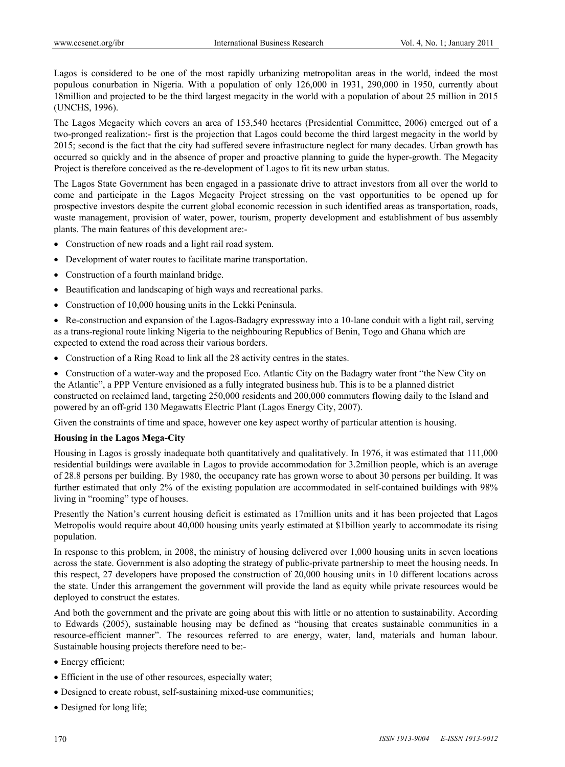Lagos is considered to be one of the most rapidly urbanizing metropolitan areas in the world, indeed the most populous conurbation in Nigeria. With a population of only 126,000 in 1931, 290,000 in 1950, currently about 18million and projected to be the third largest megacity in the world with a population of about 25 million in 2015 (UNCHS, 1996).

The Lagos Megacity which covers an area of 153,540 hectares (Presidential Committee, 2006) emerged out of a two-pronged realization:- first is the projection that Lagos could become the third largest megacity in the world by 2015; second is the fact that the city had suffered severe infrastructure neglect for many decades. Urban growth has occurred so quickly and in the absence of proper and proactive planning to guide the hyper-growth. The Megacity Project is therefore conceived as the re-development of Lagos to fit its new urban status.

The Lagos State Government has been engaged in a passionate drive to attract investors from all over the world to come and participate in the Lagos Megacity Project stressing on the vast opportunities to be opened up for prospective investors despite the current global economic recession in such identified areas as transportation, roads, waste management, provision of water, power, tourism, property development and establishment of bus assembly plants. The main features of this development are:-

- Construction of new roads and a light rail road system.
- Development of water routes to facilitate marine transportation.
- Construction of a fourth mainland bridge.
- Beautification and landscaping of high ways and recreational parks.
- Construction of 10,000 housing units in the Lekki Peninsula.

 Re-construction and expansion of the Lagos-Badagry expressway into a 10-lane conduit with a light rail, serving as a trans-regional route linking Nigeria to the neighbouring Republics of Benin, Togo and Ghana which are expected to extend the road across their various borders.

Construction of a Ring Road to link all the 28 activity centres in the states.

 Construction of a water-way and the proposed Eco. Atlantic City on the Badagry water front "the New City on the Atlantic", a PPP Venture envisioned as a fully integrated business hub. This is to be a planned district constructed on reclaimed land, targeting 250,000 residents and 200,000 commuters flowing daily to the Island and powered by an off-grid 130 Megawatts Electric Plant (Lagos Energy City, 2007).

Given the constraints of time and space, however one key aspect worthy of particular attention is housing.

# **Housing in the Lagos Mega-City**

Housing in Lagos is grossly inadequate both quantitatively and qualitatively. In 1976, it was estimated that 111,000 residential buildings were available in Lagos to provide accommodation for 3.2million people, which is an average of 28.8 persons per building. By 1980, the occupancy rate has grown worse to about 30 persons per building. It was further estimated that only 2% of the existing population are accommodated in self-contained buildings with 98% living in "rooming" type of houses.

Presently the Nation's current housing deficit is estimated as 17million units and it has been projected that Lagos Metropolis would require about 40,000 housing units yearly estimated at \$1billion yearly to accommodate its rising population.

In response to this problem, in 2008, the ministry of housing delivered over 1,000 housing units in seven locations across the state. Government is also adopting the strategy of public-private partnership to meet the housing needs. In this respect, 27 developers have proposed the construction of 20,000 housing units in 10 different locations across the state. Under this arrangement the government will provide the land as equity while private resources would be deployed to construct the estates.

And both the government and the private are going about this with little or no attention to sustainability. According to Edwards (2005), sustainable housing may be defined as "housing that creates sustainable communities in a resource-efficient manner". The resources referred to are energy, water, land, materials and human labour. Sustainable housing projects therefore need to be:-

- Energy efficient;
- Efficient in the use of other resources, especially water;
- Designed to create robust, self-sustaining mixed-use communities;
- Designed for long life;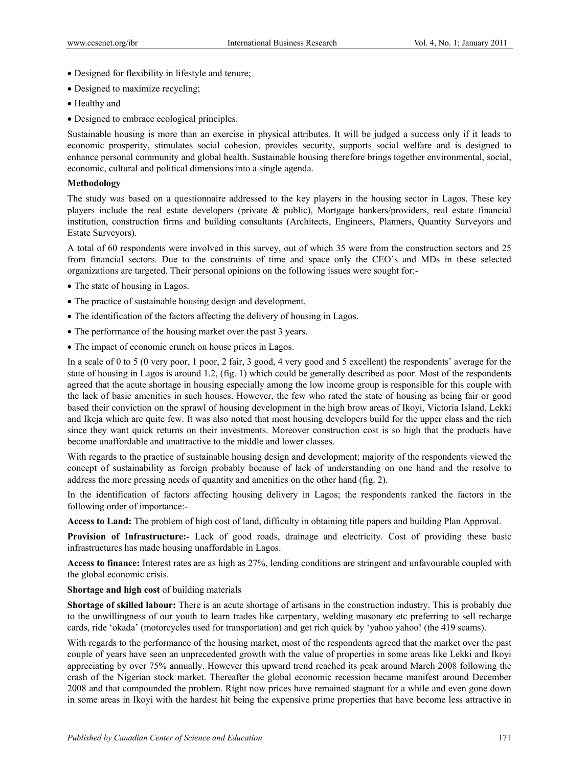- Designed for flexibility in lifestyle and tenure;
- Designed to maximize recycling;
- Healthy and
- Designed to embrace ecological principles.

Sustainable housing is more than an exercise in physical attributes. It will be judged a success only if it leads to economic prosperity, stimulates social cohesion, provides security, supports social welfare and is designed to enhance personal community and global health. Sustainable housing therefore brings together environmental, social, economic, cultural and political dimensions into a single agenda.

# **Methodology**

The study was based on a questionnaire addressed to the key players in the housing sector in Lagos. These key players include the real estate developers (private & public), Mortgage bankers/providers, real estate financial institution, construction firms and building consultants (Architects, Engineers, Planners, Quantity Surveyors and Estate Surveyors).

A total of 60 respondents were involved in this survey, out of which 35 were from the construction sectors and 25 from financial sectors. Due to the constraints of time and space only the CEO's and MDs in these selected organizations are targeted. Their personal opinions on the following issues were sought for:-

- The state of housing in Lagos.
- The practice of sustainable housing design and development.
- The identification of the factors affecting the delivery of housing in Lagos.
- The performance of the housing market over the past 3 years.
- The impact of economic crunch on house prices in Lagos.

In a scale of 0 to 5 (0 very poor, 1 poor, 2 fair, 3 good, 4 very good and 5 excellent) the respondents' average for the state of housing in Lagos is around 1.2, (fig. 1) which could be generally described as poor. Most of the respondents agreed that the acute shortage in housing especially among the low income group is responsible for this couple with the lack of basic amenities in such houses. However, the few who rated the state of housing as being fair or good based their conviction on the sprawl of housing development in the high brow areas of Ikoyi, Victoria Island, Lekki and Ikeja which are quite few. It was also noted that most housing developers build for the upper class and the rich since they want quick returns on their investments. Moreover construction cost is so high that the products have become unaffordable and unattractive to the middle and lower classes.

With regards to the practice of sustainable housing design and development; majority of the respondents viewed the concept of sustainability as foreign probably because of lack of understanding on one hand and the resolve to address the more pressing needs of quantity and amenities on the other hand (fig. 2).

In the identification of factors affecting housing delivery in Lagos; the respondents ranked the factors in the following order of importance:-

**Access to Land:** The problem of high cost of land, difficulty in obtaining title papers and building Plan Approval.

**Provision of Infrastructure:-** Lack of good roads, drainage and electricity. Cost of providing these basic infrastructures has made housing unaffordable in Lagos.

**Access to finance:** Interest rates are as high as 27%, lending conditions are stringent and unfavourable coupled with the global economic crisis.

**Shortage and high cost** of building materials

**Shortage of skilled labour:** There is an acute shortage of artisans in the construction industry. This is probably due to the unwillingness of our youth to learn trades like carpentary, welding masonary etc preferring to sell recharge cards, ride 'okada' (motorcycles used for transportation) and get rich quick by 'yahoo yahoo! (the 419 scams).

With regards to the performance of the housing market, most of the respondents agreed that the market over the past couple of years have seen an unprecedented growth with the value of properties in some areas like Lekki and Ikoyi appreciating by over 75% annually. However this upward trend reached its peak around March 2008 following the crash of the Nigerian stock market. Thereafter the global economic recession became manifest around December 2008 and that compounded the problem. Right now prices have remained stagnant for a while and even gone down in some areas in Ikoyi with the hardest hit being the expensive prime properties that have become less attractive in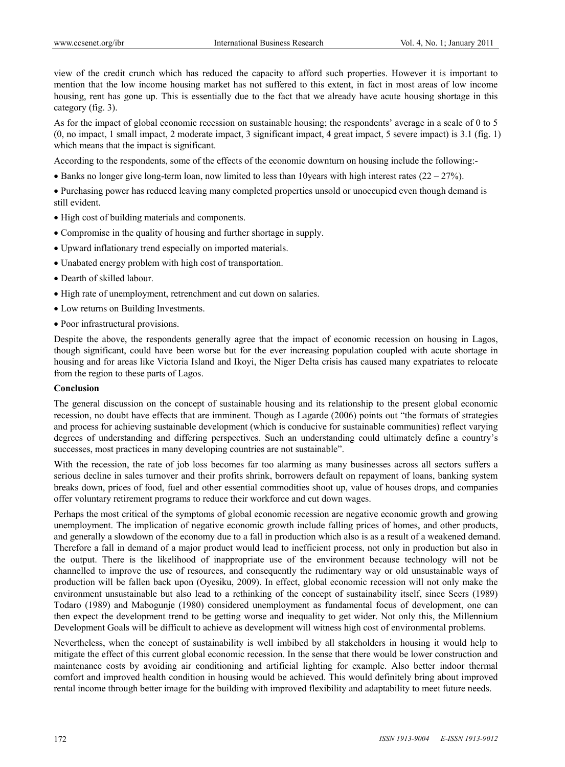view of the credit crunch which has reduced the capacity to afford such properties. However it is important to mention that the low income housing market has not suffered to this extent, in fact in most areas of low income housing, rent has gone up. This is essentially due to the fact that we already have acute housing shortage in this category (fig. 3).

As for the impact of global economic recession on sustainable housing; the respondents' average in a scale of 0 to 5 (0, no impact, 1 small impact, 2 moderate impact, 3 significant impact, 4 great impact, 5 severe impact) is 3.1 (fig. 1) which means that the impact is significant.

According to the respondents, some of the effects of the economic downturn on housing include the following:-

• Banks no longer give long-term loan, now limited to less than 10 years with high interest rates  $(22 – 27%)$ .

 Purchasing power has reduced leaving many completed properties unsold or unoccupied even though demand is still evident.

- High cost of building materials and components.
- Compromise in the quality of housing and further shortage in supply.
- Upward inflationary trend especially on imported materials.
- Unabated energy problem with high cost of transportation.
- Dearth of skilled labour.
- High rate of unemployment, retrenchment and cut down on salaries.
- Low returns on Building Investments.
- Poor infrastructural provisions.

Despite the above, the respondents generally agree that the impact of economic recession on housing in Lagos, though significant, could have been worse but for the ever increasing population coupled with acute shortage in housing and for areas like Victoria Island and Ikoyi, the Niger Delta crisis has caused many expatriates to relocate from the region to these parts of Lagos.

#### **Conclusion**

The general discussion on the concept of sustainable housing and its relationship to the present global economic recession, no doubt have effects that are imminent. Though as Lagarde (2006) points out "the formats of strategies and process for achieving sustainable development (which is conducive for sustainable communities) reflect varying degrees of understanding and differing perspectives. Such an understanding could ultimately define a country's successes, most practices in many developing countries are not sustainable".

With the recession, the rate of job loss becomes far too alarming as many businesses across all sectors suffers a serious decline in sales turnover and their profits shrink, borrowers default on repayment of loans, banking system breaks down, prices of food, fuel and other essential commodities shoot up, value of houses drops, and companies offer voluntary retirement programs to reduce their workforce and cut down wages.

Perhaps the most critical of the symptoms of global economic recession are negative economic growth and growing unemployment. The implication of negative economic growth include falling prices of homes, and other products, and generally a slowdown of the economy due to a fall in production which also is as a result of a weakened demand. Therefore a fall in demand of a major product would lead to inefficient process, not only in production but also in the output. There is the likelihood of inappropriate use of the environment because technology will not be channelled to improve the use of resources, and consequently the rudimentary way or old unsustainable ways of production will be fallen back upon (Oyesiku, 2009). In effect, global economic recession will not only make the environment unsustainable but also lead to a rethinking of the concept of sustainability itself, since Seers (1989) Todaro (1989) and Mabogunje (1980) considered unemployment as fundamental focus of development, one can then expect the development trend to be getting worse and inequality to get wider. Not only this, the Millennium Development Goals will be difficult to achieve as development will witness high cost of environmental problems.

Nevertheless, when the concept of sustainability is well imbibed by all stakeholders in housing it would help to mitigate the effect of this current global economic recession. In the sense that there would be lower construction and maintenance costs by avoiding air conditioning and artificial lighting for example. Also better indoor thermal comfort and improved health condition in housing would be achieved. This would definitely bring about improved rental income through better image for the building with improved flexibility and adaptability to meet future needs.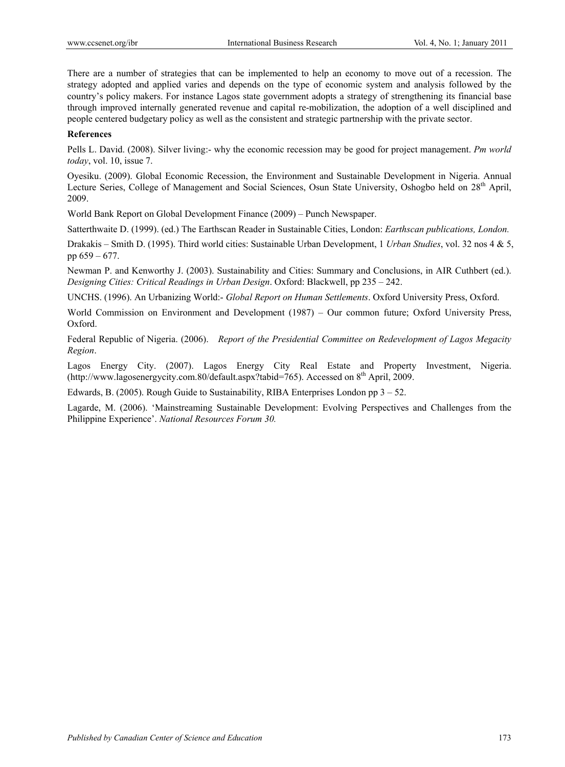There are a number of strategies that can be implemented to help an economy to move out of a recession. The strategy adopted and applied varies and depends on the type of economic system and analysis followed by the country's policy makers. For instance Lagos state government adopts a strategy of strengthening its financial base through improved internally generated revenue and capital re-mobilization, the adoption of a well disciplined and people centered budgetary policy as well as the consistent and strategic partnership with the private sector.

# **References**

Pells L. David. (2008). Silver living:- why the economic recession may be good for project management. *Pm world today*, vol. 10, issue 7.

Oyesiku. (2009). Global Economic Recession, the Environment and Sustainable Development in Nigeria. Annual Lecture Series, College of Management and Social Sciences, Osun State University, Oshogbo held on 28<sup>th</sup> April, 2009.

World Bank Report on Global Development Finance (2009) – Punch Newspaper.

Satterthwaite D. (1999). (ed.) The Earthscan Reader in Sustainable Cities, London: *Earthscan publications, London.*

Drakakis – Smith D. (1995). Third world cities: Sustainable Urban Development, 1 *Urban Studies*, vol. 32 nos 4 & 5, pp 659 – 677.

Newman P. and Kenworthy J. (2003). Sustainability and Cities: Summary and Conclusions, in AIR Cuthbert (ed.). *Designing Cities: Critical Readings in Urban Design*. Oxford: Blackwell, pp 235 – 242.

UNCHS. (1996). An Urbanizing World:- *Global Report on Human Settlements*. Oxford University Press, Oxford.

World Commission on Environment and Development (1987) – Our common future; Oxford University Press, Oxford.

Federal Republic of Nigeria. (2006). *Report of the Presidential Committee on Redevelopment of Lagos Megacity Region*.

Lagos Energy City. (2007). Lagos Energy City Real Estate and Property Investment, Nigeria. (http://www.lagosenergycity.com.80/default.aspx?tabid=765). Accessed on 8<sup>th</sup> April, 2009.

Edwards, B. (2005). Rough Guide to Sustainability, RIBA Enterprises London pp 3 – 52.

Lagarde, M. (2006). 'Mainstreaming Sustainable Development: Evolving Perspectives and Challenges from the Philippine Experience'. *National Resources Forum 30.*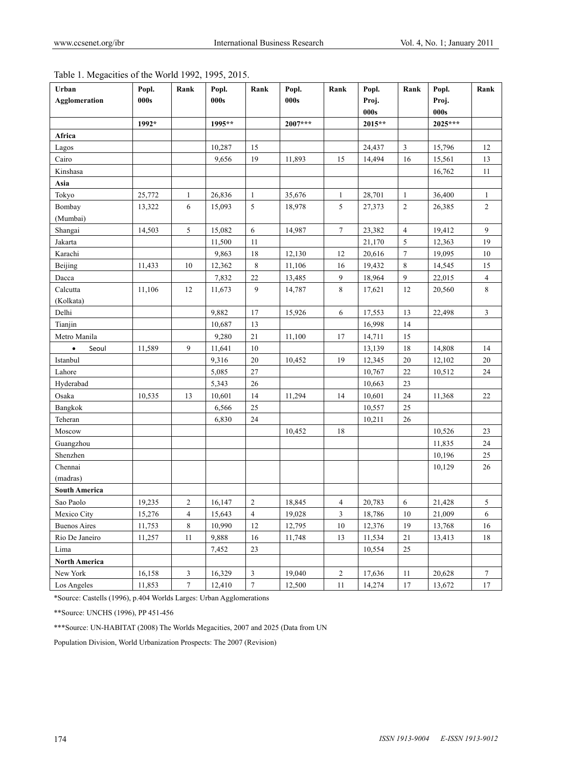| Table 1. Megacities of the World 1992, 1995, 2015. |  |  |  |
|----------------------------------------------------|--|--|--|
|                                                    |  |  |  |

| Urban                | Popl.  | Rank           | Popl.  | Rank           | Popl.     | Rank           | Popl.  | Rank           | Popl.   | Rank           |
|----------------------|--------|----------------|--------|----------------|-----------|----------------|--------|----------------|---------|----------------|
| <b>Agglomeration</b> | 000s   |                | 000s   |                | 000s      |                | Proj.  |                | Proj.   |                |
|                      |        |                |        |                |           |                | 000s   |                | 000s    |                |
|                      | 1992*  |                | 1995** |                | $2007***$ |                | 2015** |                | 2025*** |                |
| Africa               |        |                |        |                |           |                |        |                |         |                |
| Lagos                |        |                | 10,287 | 15             |           |                | 24,437 | 3              | 15,796  | 12             |
| Cairo                |        |                | 9,656  | 19             | 11,893    | 15             | 14,494 | 16             | 15,561  | 13             |
| Kinshasa             |        |                |        |                |           |                |        |                | 16,762  | 11             |
| Asia                 |        |                |        |                |           |                |        |                |         |                |
| Tokyo                | 25,772 | 1              | 26,836 | $\mathbf{1}$   | 35,676    | 1              | 28,701 | 1              | 36,400  | 1              |
| Bombay               | 13,322 | 6              | 15,093 | 5              | 18,978    | 5              | 27,373 | $\sqrt{2}$     | 26,385  | $\overline{c}$ |
| (Mumbai)             |        |                |        |                |           |                |        |                |         |                |
| Shangai              | 14,503 | 5              | 15,082 | 6              | 14,987    | $\tau$         | 23,382 | $\overline{4}$ | 19,412  | 9              |
| Jakarta              |        |                | 11,500 | 11             |           |                | 21,170 | 5              | 12,363  | 19             |
| Karachi              |        |                | 9,863  | 18             | 12,130    | 12             | 20,616 | $\tau$         | 19,095  | 10             |
| Beijing              | 11,433 | 10             | 12,362 | $\,$ 8 $\,$    | 11,106    | 16             | 19,432 | 8              | 14,545  | 15             |
| Dacca                |        |                | 7,832  | $22\,$         | 13,485    | 9              | 18,964 | 9              | 22,015  | 4              |
| Calcutta             | 11,106 | 12             | 11,673 | 9              | 14,787    | 8              | 17,621 | 12             | 20,560  | 8              |
| (Kolkata)            |        |                |        |                |           |                |        |                |         |                |
| Delhi                |        |                | 9,882  | 17             | 15,926    | 6              | 17,553 | 13             | 22,498  | 3              |
| Tianjin              |        |                | 10,687 | 13             |           |                | 16,998 | 14             |         |                |
| Metro Manila         |        |                | 9,280  | 21             | 11,100    | 17             | 14,711 | 15             |         |                |
| Seoul<br>$\bullet$   | 11,589 | 9              | 11,641 | 10             |           |                | 13,139 | 18             | 14,808  | 14             |
| Istanbul             |        |                | 9,316  | $20\,$         | 10,452    | 19             | 12,345 | $20\,$         | 12,102  | 20             |
| Lahore               |        |                | 5,085  | $27\,$         |           |                | 10,767 | 22             | 10,512  | 24             |
| Hyderabad            |        |                | 5,343  | $26\,$         |           |                | 10,663 | 23             |         |                |
| Osaka                | 10,535 | 13             | 10,601 | 14             | 11,294    | 14             | 10,601 | 24             | 11,368  | 22             |
| Bangkok              |        |                | 6,566  | 25             |           |                | 10,557 | $25\,$         |         |                |
| Teheran              |        |                | 6,830  | 24             |           |                | 10,211 | 26             |         |                |
| Moscow               |        |                |        |                | 10,452    | 18             |        |                | 10,526  | 23             |
| Guangzhou            |        |                |        |                |           |                |        |                | 11,835  | 24             |
| Shenzhen             |        |                |        |                |           |                |        |                | 10,196  | 25             |
| Chennai              |        |                |        |                |           |                |        |                | 10,129  | 26             |
| (madras)             |        |                |        |                |           |                |        |                |         |                |
| <b>South America</b> |        |                |        |                |           |                |        |                |         |                |
| Sao Paolo            | 19,235 | $\overline{c}$ | 16,147 | $\sqrt{2}$     | 18,845    | 4              | 20,783 | 6              | 21,428  | 5              |
| Mexico City          | 15,276 | $\overline{4}$ | 15,643 | $\overline{4}$ | 19,028    | $\mathfrak{Z}$ | 18,786 | $10\,$         | 21,009  | 6              |
| <b>Buenos Aires</b>  | 11,753 | 8              | 10,990 | $12\,$         | 12,795    | $10\,$         | 12,376 | 19             | 13,768  | 16             |
| Rio De Janeiro       | 11,257 | $11\,$         | 9,888  | $16\,$         | 11,748    | 13             | 11,534 | 21             | 13,413  | 18             |
| Lima                 |        |                | 7,452  | 23             |           |                | 10,554 | 25             |         |                |
| <b>North America</b> |        |                |        |                |           |                |        |                |         |                |
| New York             | 16,158 | $\mathfrak{Z}$ | 16,329 | $\mathfrak{Z}$ | 19,040    | $\sqrt{2}$     | 17,636 | $11\,$         | 20,628  | $\tau$         |
| Los Angeles          | 11,853 | $\tau$         | 12,410 | $\tau$         | 12,500    | 11             | 14,274 | 17             | 13,672  | 17             |

\*Source: Castells (1996), p.404 Worlds Larges: Urban Agglomerations

\*\*Source: UNCHS (1996), PP 451-456

\*\*\*Source: UN-HABITAT (2008) The Worlds Megacities, 2007 and 2025 (Data from UN

Population Division, World Urbanization Prospects: The 2007 (Revision)